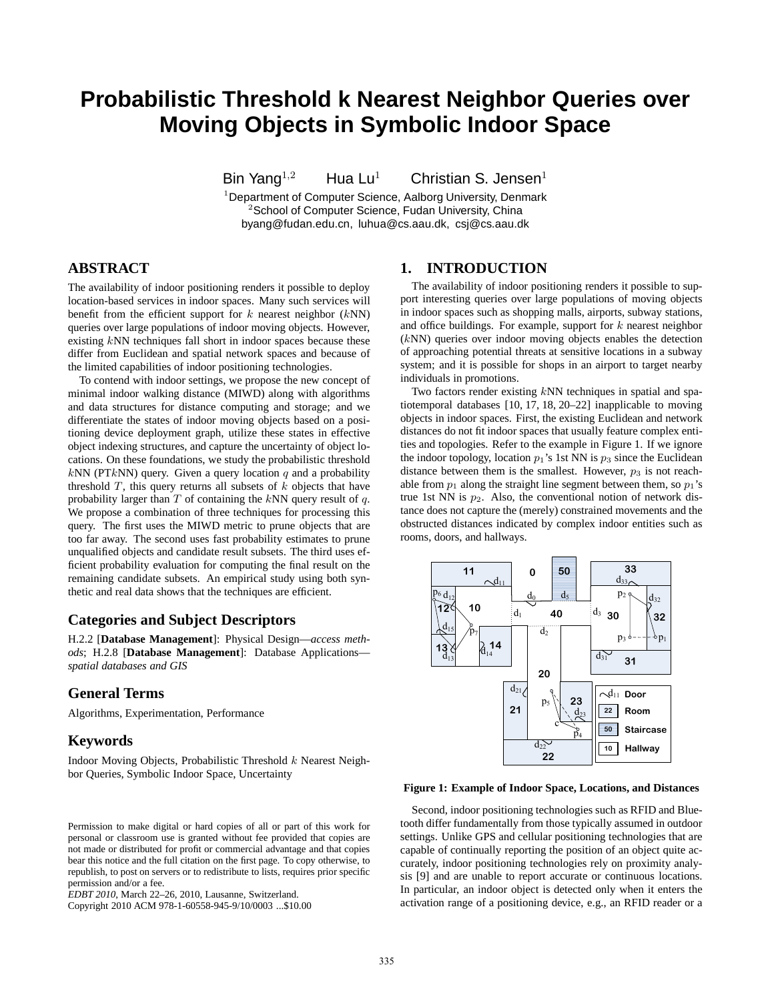# **Probabilistic Threshold k Nearest Neighbor Queries over Moving Objects in Symbolic Indoor Space**

Bin Yang<sup>1,2</sup> Hua Lu<sup>1</sup> Christian S. Jensen<sup>1</sup>

<sup>1</sup> Department of Computer Science, Aalborg University, Denmark <sup>2</sup>School of Computer Science, Fudan University, China byang@fudan.edu.cn, luhua@cs.aau.dk, csj@cs.aau.dk

# **ABSTRACT**

The availability of indoor positioning renders it possible to deploy location-based services in indoor spaces. Many such services will benefit from the efficient support for  $k$  nearest neighbor  $(kNN)$ queries over large populations of indoor moving objects. However, existing  $k$ NN techniques fall short in indoor spaces because these differ from Euclidean and spatial network spaces and because of the limited capabilities of indoor positioning technologies.

To contend with indoor settings, we propose the new concept of minimal indoor walking distance (MIWD) along with algorithms and data structures for distance computing and storage; and we differentiate the states of indoor moving objects based on a positioning device deployment graph, utilize these states in effective object indexing structures, and capture the uncertainty of object locations. On these foundations, we study the probabilistic threshold  $kNN$  (PT $kNN$ ) query. Given a query location  $q$  and a probability threshold  $T$ , this query returns all subsets of  $k$  objects that have probability larger than  $T$  of containing the  $kNN$  query result of  $q$ . We propose a combination of three techniques for processing this query. The first uses the MIWD metric to prune objects that are too far away. The second uses fast probability estimates to prune unqualified objects and candidate result subsets. The third uses efficient probability evaluation for computing the final result on the remaining candidate subsets. An empirical study using both synthetic and real data shows that the techniques are efficient.

# **Categories and Subject Descriptors**

H.2.2 [**Database Management**]: Physical Design—*access methods*; H.2.8 [**Database Management**]: Database Applications *spatial databases and GIS*

# **General Terms**

Algorithms, Experimentation, Performance

# **Keywords**

Indoor Moving Objects, Probabilistic Threshold k Nearest Neighbor Queries, Symbolic Indoor Space, Uncertainty

#### Permission to make digital or hard copies of all or part of this work for personal or classroom use is granted without fee provided that copies are not made or distributed for profit or commercial advantage and that copies bear this notice and the full citation on the first page. To copy otherwise, to republish, to post on servers or to redistribute to lists, requires prior specific permission and/or a fee.

Copyright 2010 ACM 978-1-60558-945-9/10/0003 ...\$10.00

# **1. INTRODUCTION**

The availability of indoor positioning renders it possible to support interesting queries over large populations of moving objects in indoor spaces such as shopping malls, airports, subway stations, and office buildings. For example, support for  $k$  nearest neighbor (kNN) queries over indoor moving objects enables the detection of approaching potential threats at sensitive locations in a subway system; and it is possible for shops in an airport to target nearby individuals in promotions.

Two factors render existing kNN techniques in spatial and spatiotemporal databases [10, 17, 18, 20–22] inapplicable to moving objects in indoor spaces. First, the existing Euclidean and network distances do not fit indoor spaces that usually feature complex entities and topologies. Refer to the example in Figure 1. If we ignore the indoor topology, location  $p_1$ 's 1st NN is  $p_3$  since the Euclidean distance between them is the smallest. However,  $p_3$  is not reachable from  $p_1$  along the straight line segment between them, so  $p_1$ 's true 1st NN is  $p_2$ . Also, the conventional notion of network distance does not capture the (merely) constrained movements and the obstructed distances indicated by complex indoor entities such as rooms, doors, and hallways.



#### **Figure 1: Example of Indoor Space, Locations, and Distances**

Second, indoor positioning technologies such as RFID and Bluetooth differ fundamentally from those typically assumed in outdoor settings. Unlike GPS and cellular positioning technologies that are capable of continually reporting the position of an object quite accurately, indoor positioning technologies rely on proximity analysis [9] and are unable to report accurate or continuous locations. In particular, an indoor object is detected only when it enters the activation range of a positioning device, e.g., an RFID reader or a

*EDBT 2010*, March 22–26, 2010, Lausanne, Switzerland.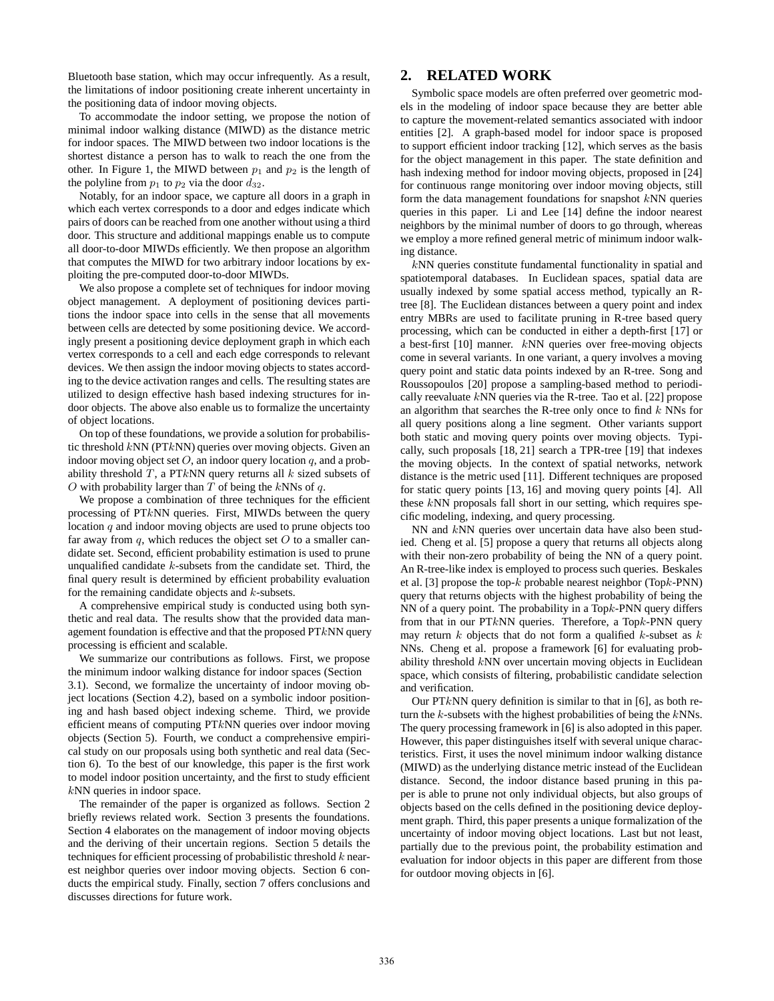Bluetooth base station, which may occur infrequently. As a result, the limitations of indoor positioning create inherent uncertainty in the positioning data of indoor moving objects.

To accommodate the indoor setting, we propose the notion of minimal indoor walking distance (MIWD) as the distance metric for indoor spaces. The MIWD between two indoor locations is the shortest distance a person has to walk to reach the one from the other. In Figure 1, the MIWD between  $p_1$  and  $p_2$  is the length of the polyline from  $p_1$  to  $p_2$  via the door  $d_{32}$ .

Notably, for an indoor space, we capture all doors in a graph in which each vertex corresponds to a door and edges indicate which pairs of doors can be reached from one another without using a third door. This structure and additional mappings enable us to compute all door-to-door MIWDs efficiently. We then propose an algorithm that computes the MIWD for two arbitrary indoor locations by exploiting the pre-computed door-to-door MIWDs.

We also propose a complete set of techniques for indoor moving object management. A deployment of positioning devices partitions the indoor space into cells in the sense that all movements between cells are detected by some positioning device. We accordingly present a positioning device deployment graph in which each vertex corresponds to a cell and each edge corresponds to relevant devices. We then assign the indoor moving objects to states according to the device activation ranges and cells. The resulting states are utilized to design effective hash based indexing structures for indoor objects. The above also enable us to formalize the uncertainty of object locations.

On top of these foundations, we provide a solution for probabilistic threshold kNN (PTkNN) queries over moving objects. Given an indoor moving object set  $O$ , an indoor query location  $q$ , and a probability threshold  $T$ , a PTkNN query returns all  $k$  sized subsets of O with probability larger than  $T$  of being the kNNs of  $q$ .

We propose a combination of three techniques for the efficient processing of PTkNN queries. First, MIWDs between the query location  $q$  and indoor moving objects are used to prune objects too far away from  $q$ , which reduces the object set  $O$  to a smaller candidate set. Second, efficient probability estimation is used to prune unqualified candidate  $k$ -subsets from the candidate set. Third, the final query result is determined by efficient probability evaluation for the remaining candidate objects and  $k$ -subsets.

A comprehensive empirical study is conducted using both synthetic and real data. The results show that the provided data management foundation is effective and that the proposed  $PTkNN$  query processing is efficient and scalable.

We summarize our contributions as follows. First, we propose the minimum indoor walking distance for indoor spaces (Section 3.1). Second, we formalize the uncertainty of indoor moving object locations (Section 4.2), based on a symbolic indoor positioning and hash based object indexing scheme. Third, we provide efficient means of computing PTkNN queries over indoor moving objects (Section 5). Fourth, we conduct a comprehensive empirical study on our proposals using both synthetic and real data (Section 6). To the best of our knowledge, this paper is the first work to model indoor position uncertainty, and the first to study efficient kNN queries in indoor space.

The remainder of the paper is organized as follows. Section 2 briefly reviews related work. Section 3 presents the foundations. Section 4 elaborates on the management of indoor moving objects and the deriving of their uncertain regions. Section 5 details the techniques for efficient processing of probabilistic threshold  $k$  nearest neighbor queries over indoor moving objects. Section 6 conducts the empirical study. Finally, section 7 offers conclusions and discusses directions for future work.

# **2. RELATED WORK**

Symbolic space models are often preferred over geometric models in the modeling of indoor space because they are better able to capture the movement-related semantics associated with indoor entities [2]. A graph-based model for indoor space is proposed to support efficient indoor tracking [12], which serves as the basis for the object management in this paper. The state definition and hash indexing method for indoor moving objects, proposed in [24] for continuous range monitoring over indoor moving objects, still form the data management foundations for snapshot  $kNN$  queries queries in this paper. Li and Lee [14] define the indoor nearest neighbors by the minimal number of doors to go through, whereas we employ a more refined general metric of minimum indoor walking distance.

kNN queries constitute fundamental functionality in spatial and spatiotemporal databases. In Euclidean spaces, spatial data are usually indexed by some spatial access method, typically an Rtree [8]. The Euclidean distances between a query point and index entry MBRs are used to facilitate pruning in R-tree based query processing, which can be conducted in either a depth-first [17] or a best-first [10] manner. kNN queries over free-moving objects come in several variants. In one variant, a query involves a moving query point and static data points indexed by an R-tree. Song and Roussopoulos [20] propose a sampling-based method to periodically reevaluate  $kNN$  queries via the R-tree. Tao et al. [22] propose an algorithm that searches the R-tree only once to find  $k$  NNs for all query positions along a line segment. Other variants support both static and moving query points over moving objects. Typically, such proposals [18, 21] search a TPR-tree [19] that indexes the moving objects. In the context of spatial networks, network distance is the metric used [11]. Different techniques are proposed for static query points [13, 16] and moving query points [4]. All these kNN proposals fall short in our setting, which requires specific modeling, indexing, and query processing.

NN and kNN queries over uncertain data have also been studied. Cheng et al. [5] propose a query that returns all objects along with their non-zero probability of being the NN of a query point. An R-tree-like index is employed to process such queries. Beskales et al. [3] propose the top- $k$  probable nearest neighbor (Top $k$ -PNN) query that returns objects with the highest probability of being the NN of a query point. The probability in a Topk-PNN query differs from that in our PTkNN queries. Therefore, a Topk-PNN query may return  $k$  objects that do not form a qualified  $k$ -subset as  $k$ NNs. Cheng et al. propose a framework [6] for evaluating probability threshold kNN over uncertain moving objects in Euclidean space, which consists of filtering, probabilistic candidate selection and verification.

Our PT $k$ NN query definition is similar to that in [6], as both return the  $k$ -subsets with the highest probabilities of being the  $k$ NNs. The query processing framework in [6] is also adopted in this paper. However, this paper distinguishes itself with several unique characteristics. First, it uses the novel minimum indoor walking distance (MIWD) as the underlying distance metric instead of the Euclidean distance. Second, the indoor distance based pruning in this paper is able to prune not only individual objects, but also groups of objects based on the cells defined in the positioning device deployment graph. Third, this paper presents a unique formalization of the uncertainty of indoor moving object locations. Last but not least, partially due to the previous point, the probability estimation and evaluation for indoor objects in this paper are different from those for outdoor moving objects in [6].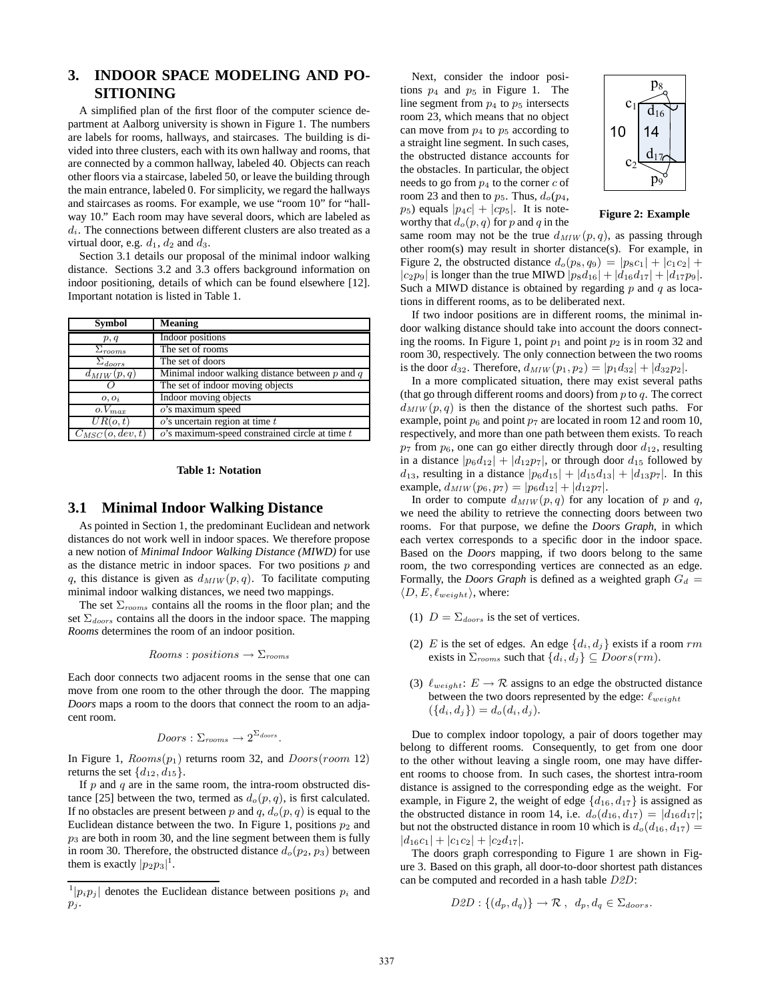# **3. INDOOR SPACE MODELING AND PO-SITIONING**

A simplified plan of the first floor of the computer science department at Aalborg university is shown in Figure 1. The numbers are labels for rooms, hallways, and staircases. The building is divided into three clusters, each with its own hallway and rooms, that are connected by a common hallway, labeled 40. Objects can reach other floors via a staircase, labeled 50, or leave the building through the main entrance, labeled 0. For simplicity, we regard the hallways and staircases as rooms. For example, we use "room 10" for "hallway 10." Each room may have several doors, which are labeled as  $d_i$ . The connections between different clusters are also treated as a virtual door, e.g.  $d_1$ ,  $d_2$  and  $d_3$ .

Section 3.1 details our proposal of the minimal indoor walking distance. Sections 3.2 and 3.3 offers background information on indoor positioning, details of which can be found elsewhere [12]. Important notation is listed in Table 1.

| <b>Symbol</b>        | <b>Meaning</b>                                      |
|----------------------|-----------------------------------------------------|
| p, q                 | Indoor positions                                    |
| $\Sigma_{rooms}$     | The set of rooms                                    |
| $\Sigma_{doors}$     | The set of doors                                    |
| $d_{MIW}(p,q)$       | Minimal indoor walking distance between $p$ and $q$ |
|                      | The set of indoor moving objects                    |
| $o, o_i$             | Indoor moving objects                               |
| $o.V_{max}$          | $o$ 's maximum speed                                |
| UR(o,t)              | $o$ 's uncertain region at time $t$                 |
| $C_{MSC}(o, dev, t)$ | $o$ 's maximum-speed constrained circle at time $t$ |

#### **Table 1: Notation**

#### **3.1 Minimal Indoor Walking Distance**

As pointed in Section 1, the predominant Euclidean and network distances do not work well in indoor spaces. We therefore propose a new notion of *Minimal Indoor Walking Distance (MIWD)* for use as the distance metric in indoor spaces. For two positions  $p$  and q, this distance is given as  $d_{MIW}(p, q)$ . To facilitate computing minimal indoor walking distances, we need two mappings.

The set  $\Sigma_{rooms}$  contains all the rooms in the floor plan; and the set  $\Sigma_{doors}$  contains all the doors in the indoor space. The mapping *Rooms* determines the room of an indoor position.

$$
Rooms: positions \rightarrow \Sigma_{rooms}
$$

Each door connects two adjacent rooms in the sense that one can move from one room to the other through the door. The mapping *Doors* maps a room to the doors that connect the room to an adjacent room.

$$
Doors: \Sigma_{rooms} \rightarrow 2^{\Sigma_{ doors}}.
$$

In Figure 1,  $Rooms(p_1)$  returns room 32, and  $Doors(room 12)$ returns the set  $\{d_{12}, d_{15}\}.$ 

If  $p$  and  $q$  are in the same room, the intra-room obstructed distance [25] between the two, termed as  $d_o(p,q)$ , is first calculated. If no obstacles are present between p and q,  $d_o(p, q)$  is equal to the Euclidean distance between the two. In Figure 1, positions  $p_2$  and  $p_3$  are both in room 30, and the line segment between them is fully in room 30. Therefore, the obstructed distance  $d_o(p_2, p_3)$  between them is exactly  $|p_2p_3|^1$ .

Next, consider the indoor positions  $p_4$  and  $p_5$  in Figure 1. The line segment from  $p_4$  to  $p_5$  intersects room 23, which means that no object can move from  $p_4$  to  $p_5$  according to a straight line segment. In such cases, the obstructed distance accounts for the obstacles. In particular, the object needs to go from  $p_4$  to the corner c of room 23 and then to  $p_5$ . Thus,  $d_o(p_4)$ ,  $p_5$ ) equals  $|p_4c| + |cp_5|$ . It is noteworthy that  $d_o(p,q)$  for p and q in the



**Figure 2: Example**

same room may not be the true  $d_{MIW}(p, q)$ , as passing through other room(s) may result in shorter distance(s). For example, in Figure 2, the obstructed distance  $d_o(p_8, q_9) = |p_8c_1| + |c_1c_2| +$  $|c_2p_9|$  is longer than the true MIWD  $|p_8d_{16}| + |d_{16}d_{17}| + |d_{17}p_9|$ . Such a MIWD distance is obtained by regarding  $p$  and  $q$  as locations in different rooms, as to be deliberated next.

If two indoor positions are in different rooms, the minimal indoor walking distance should take into account the doors connecting the rooms. In Figure 1, point  $p_1$  and point  $p_2$  is in room 32 and room 30, respectively. The only connection between the two rooms is the door  $d_{32}$ . Therefore,  $d_{MIN}(p_1, p_2) = |p_1d_{32}| + |d_{32}p_2|$ .

In a more complicated situation, there may exist several paths (that go through different rooms and doors) from  $p$  to  $q$ . The correct  $d_{MIN}(p,q)$  is then the distance of the shortest such paths. For example, point  $p_6$  and point  $p_7$  are located in room 12 and room 10, respectively, and more than one path between them exists. To reach  $p_7$  from  $p_6$ , one can go either directly through door  $d_{12}$ , resulting in a distance  $|p_6d_{12}| + |d_{12}p_7|$ , or through door  $d_{15}$  followed by  $d_{13}$ , resulting in a distance  $|p_6d_{15}| + |d_{15}d_{13}| + |d_{13}p_7|$ . In this example,  $d_{MIW}(p_6, p_7) = |p_6d_{12}| + |d_{12}p_7|$ .

In order to compute  $d_{MIW}(p,q)$  for any location of p and q, we need the ability to retrieve the connecting doors between two rooms. For that purpose, we define the *Doors Graph*, in which each vertex corresponds to a specific door in the indoor space. Based on the *Doors* mapping, if two doors belong to the same room, the two corresponding vertices are connected as an edge. Formally, the *Doors Graph* is defined as a weighted graph  $G_d$  =  $\langle D, E, \ell_{weight} \rangle$ , where:

- (1)  $D = \sum_{doors}$  is the set of vertices.
- (2) E is the set of edges. An edge  $\{d_i, d_j\}$  exists if a room rm exists in  $\Sigma_{rooms}$  such that  $\{d_i, d_j\} \subseteq Doors(rm)$ .
- (3)  $\ell_{weight}$ :  $E \rightarrow \mathcal{R}$  assigns to an edge the obstructed distance between the two doors represented by the edge:  $\ell_{weight}$  $({d_i, d_j}) = d_o(d_i, d_j).$

Due to complex indoor topology, a pair of doors together may belong to different rooms. Consequently, to get from one door to the other without leaving a single room, one may have different rooms to choose from. In such cases, the shortest intra-room distance is assigned to the corresponding edge as the weight. For example, in Figure 2, the weight of edge  $\{d_{16}, d_{17}\}$  is assigned as the obstructed distance in room 14, i.e.  $d_o(d_{16}, d_{17}) = |d_{16}d_{17}|;$ but not the obstructed distance in room 10 which is  $d_0(d_{16}, d_{17}) =$  $|d_{16}c_1| + |c_1c_2| + |c_2d_{17}|.$ 

The doors graph corresponding to Figure 1 are shown in Figure 3. Based on this graph, all door-to-door shortest path distances can be computed and recorded in a hash table D2D:

$$
D2D: \{(d_p, d_q)\} \to \mathcal{R} \ , \ d_p, d_q \in \Sigma_{doors}.
$$

 $\vert p_i p_j \vert$  denotes the Euclidean distance between positions  $p_i$  and  $p_j$ .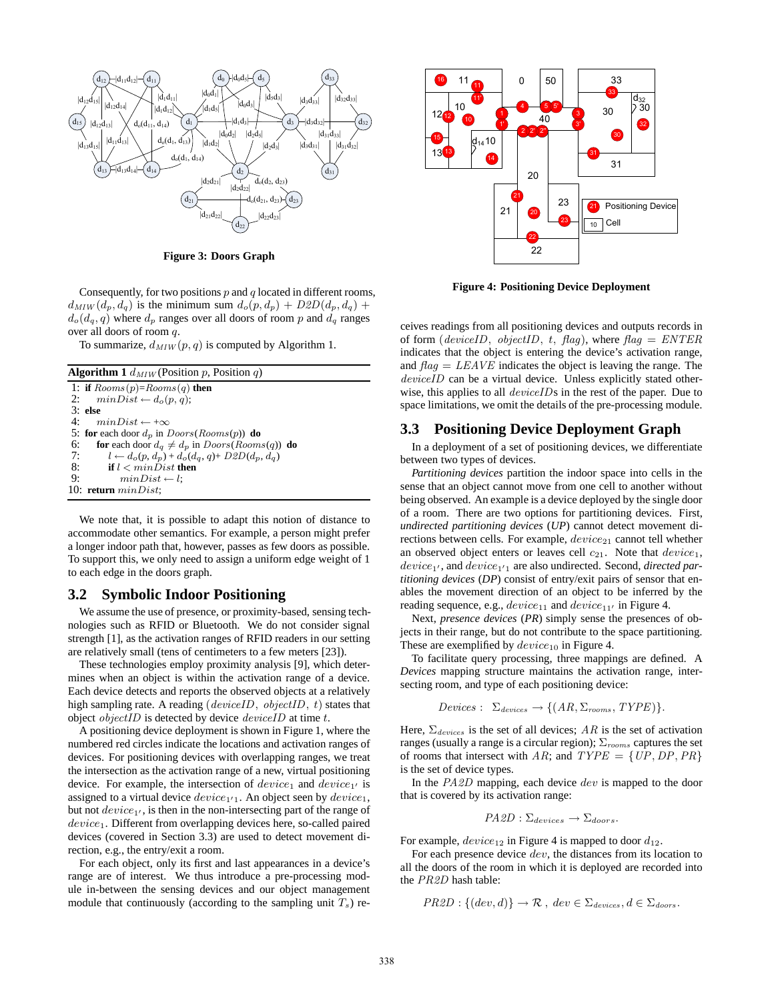

**Figure 3: Doors Graph**

Consequently, for two positions  $p$  and  $q$  located in different rooms,  $d_{MIN}(d_p, d_q)$  is the minimum sum  $d_o(p, d_p) + D2D(d_p, d_q) + D2D(d_p, d_q)$  $d_o(d_q, q)$  where  $d_p$  ranges over all doors of room p and  $d_q$  ranges over all doors of room q.

To summarize,  $d_{MIW}(p,q)$  is computed by Algorithm 1.

| <b>Algorithm 1</b> $d_{MIW}$ (Position p, Position q)                   |  |  |
|-------------------------------------------------------------------------|--|--|
| 1: if $Rooms(p)=Rooms(q)$ then                                          |  |  |
| 2: $minDist \leftarrow d_o(p, q)$ ;                                     |  |  |
| $3:$ else                                                               |  |  |
| 4: $minDist \leftarrow +\infty$                                         |  |  |
| 5: for each door $d_p$ in $D$ <i>oors</i> ( $R$ <i>ooms</i> ( $p$ )) do |  |  |
| 6:<br>for each door $d_q \neq d_p$ in $Doors(Rooms(q))$ do              |  |  |
| 7:<br>$l \leftarrow d_o(p, d_p) + d_o(d_q, q) + D2D(d_p, d_q)$          |  |  |
| 8:<br>if $l < minDist$ then                                             |  |  |
| 9:<br>$minDist \leftarrow l$ :                                          |  |  |
| 10: return $minDist$ ;                                                  |  |  |

We note that, it is possible to adapt this notion of distance to accommodate other semantics. For example, a person might prefer a longer indoor path that, however, passes as few doors as possible. To support this, we only need to assign a uniform edge weight of 1 to each edge in the doors graph.

### **3.2 Symbolic Indoor Positioning**

We assume the use of presence, or proximity-based, sensing technologies such as RFID or Bluetooth. We do not consider signal strength [1], as the activation ranges of RFID readers in our setting are relatively small (tens of centimeters to a few meters [23]).

These technologies employ proximity analysis [9], which determines when an object is within the activation range of a device. Each device detects and reports the observed objects at a relatively high sampling rate. A reading (*deviceID*, *objectID*, *t*) states that object *objectID* is detected by device *deviceID* at time  $t$ .

A positioning device deployment is shown in Figure 1, where the numbered red circles indicate the locations and activation ranges of devices. For positioning devices with overlapping ranges, we treat the intersection as the activation range of a new, virtual positioning device. For example, the intersection of  $device_1$  and  $device_{1'}$  is assigned to a virtual device  $device_{1'1}$ . An object seen by  $device_1$ , but not  $device_{1'}$ , is then in the non-intersecting part of the range of device<sub>1</sub>. Different from overlapping devices here, so-called paired devices (covered in Section 3.3) are used to detect movement direction, e.g., the entry/exit a room.

For each object, only its first and last appearances in a device's range are of interest. We thus introduce a pre-processing module in-between the sensing devices and our object management module that continuously (according to the sampling unit  $T_s$ ) re-



**Figure 4: Positioning Device Deployment**

ceives readings from all positioning devices and outputs records in of form (deviceID, objectID, t, flag), where  $flag = ENTER$ indicates that the object is entering the device's activation range, and  $flag = LEAVE$  indicates the object is leaving the range. The deviceID can be a virtual device. Unless explicitly stated otherwise, this applies to all *deviceIDs* in the rest of the paper. Due to space limitations, we omit the details of the pre-processing module.

### **3.3 Positioning Device Deployment Graph**

In a deployment of a set of positioning devices, we differentiate between two types of devices.

*Partitioning devices* partition the indoor space into cells in the sense that an object cannot move from one cell to another without being observed. An example is a device deployed by the single door of a room. There are two options for partitioning devices. First, *undirected partitioning devices* (*UP*) cannot detect movement directions between cells. For example,  $device_{21}$  cannot tell whether an observed object enters or leaves cell  $c_{21}$ . Note that  $device_1$ , device1′ , and device1′<sup>1</sup> are also undirected. Second, *directed partitioning devices* (*DP*) consist of entry/exit pairs of sensor that enables the movement direction of an object to be inferred by the reading sequence, e.g.,  $device_{11}$  and  $device_{11'}$  in Figure 4.

Next, *presence devices* (*PR*) simply sense the presences of objects in their range, but do not contribute to the space partitioning. These are exemplified by  $device_{10}$  in Figure 4.

To facilitate query processing, three mappings are defined. A *Devices* mapping structure maintains the activation range, intersecting room, and type of each positioning device:

$$
Devices: \ \Sigma_{devices} \to \{(AR, \Sigma_{rooms}, TYPE)\}.
$$

Here,  $\Sigma_{devices}$  is the set of all devices; AR is the set of activation ranges (usually a range is a circular region);  $\Sigma_{\text{rooms}}$  captures the set of rooms that intersect with AR; and  $TYPE = \{UP, DP, PR\}$ is the set of device types.

In the PA2D mapping, each device dev is mapped to the door that is covered by its activation range:

$$
PA2D : \Sigma_{devices} \rightarrow \Sigma_{doors}.
$$

For example,  $device_{12}$  in Figure 4 is mapped to door  $d_{12}$ .

For each presence device dev, the distances from its location to all the doors of the room in which it is deployed are recorded into the PR2D hash table:

$$
PR2D: \{(dev, d)\} \to \mathcal{R}, dev \in \Sigma_{devices}, d \in \Sigma_{doors}.
$$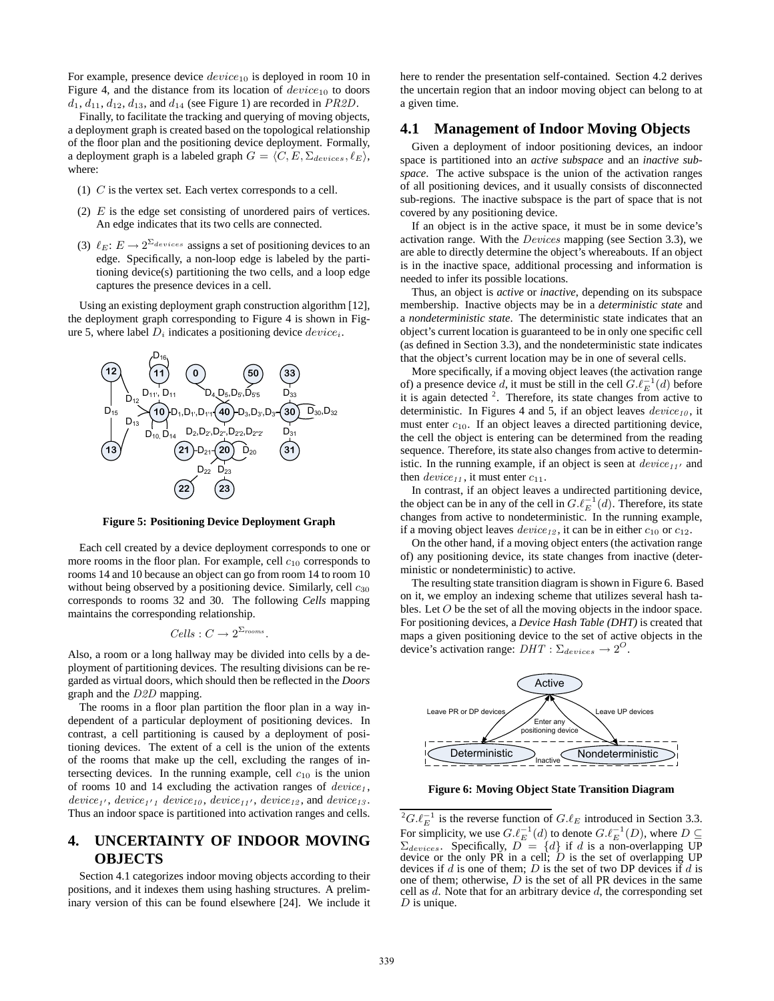For example, presence device  $device_{10}$  is deployed in room 10 in Figure 4, and the distance from its location of  $device_{10}$  to doors  $d_1, d_{11}, d_{12}, d_{13}$ , and  $d_{14}$  (see Figure 1) are recorded in PR2D.

Finally, to facilitate the tracking and querying of moving objects, a deployment graph is created based on the topological relationship of the floor plan and the positioning device deployment. Formally, a deployment graph is a labeled graph  $G = \langle C, E, \Sigma_{devices}, \ell_E \rangle$ , where:

- (1)  $C$  is the vertex set. Each vertex corresponds to a cell.
- (2)  $E$  is the edge set consisting of unordered pairs of vertices. An edge indicates that its two cells are connected.
- (3)  $\ell_E: E \to 2^{\Sigma_{devices}}$  assigns a set of positioning devices to an edge. Specifically, a non-loop edge is labeled by the partitioning device(s) partitioning the two cells, and a loop edge captures the presence devices in a cell.

Using an existing deployment graph construction algorithm [12], the deployment graph corresponding to Figure 4 is shown in Figure 5, where label  $D_i$  indicates a positioning device  $device_i$ .



**Figure 5: Positioning Device Deployment Graph**

Each cell created by a device deployment corresponds to one or more rooms in the floor plan. For example, cell  $c_{10}$  corresponds to rooms 14 and 10 because an object can go from room 14 to room 10 without being observed by a positioning device. Similarly, cell  $c_{30}$ corresponds to rooms 32 and 30. The following *Cells* mapping maintains the corresponding relationship.

$$
Cells: C \to 2^{\Sigma_{rooms}}.
$$

Also, a room or a long hallway may be divided into cells by a deployment of partitioning devices. The resulting divisions can be regarded as virtual doors, which should then be reflected in the *Doors* graph and the D2D mapping.

The rooms in a floor plan partition the floor plan in a way independent of a particular deployment of positioning devices. In contrast, a cell partitioning is caused by a deployment of positioning devices. The extent of a cell is the union of the extents of the rooms that make up the cell, excluding the ranges of intersecting devices. In the running example, cell  $c_{10}$  is the union of rooms 10 and 14 excluding the activation ranges of  $device<sub>1</sub>$ ,  $device_{1'}$ ,  $device_{1'1}$   $device_{10}$ ,  $device_{11'}$ ,  $device_{12}$ , and  $device_{13}$ . Thus an indoor space is partitioned into activation ranges and cells.

# **4. UNCERTAINTY OF INDOOR MOVING OBJECTS**

Section 4.1 categorizes indoor moving objects according to their positions, and it indexes them using hashing structures. A preliminary version of this can be found elsewhere [24]. We include it here to render the presentation self-contained. Section 4.2 derives the uncertain region that an indoor moving object can belong to at a given time.

# **4.1 Management of Indoor Moving Objects**

Given a deployment of indoor positioning devices, an indoor space is partitioned into an *active subspace* and an *inactive subspace*. The active subspace is the union of the activation ranges of all positioning devices, and it usually consists of disconnected sub-regions. The inactive subspace is the part of space that is not covered by any positioning device.

If an object is in the active space, it must be in some device's activation range. With the Devices mapping (see Section 3.3), we are able to directly determine the object's whereabouts. If an object is in the inactive space, additional processing and information is needed to infer its possible locations.

Thus, an object is *active* or *inactive*, depending on its subspace membership. Inactive objects may be in a *deterministic state* and a *nondeterministic state*. The deterministic state indicates that an object's current location is guaranteed to be in only one specific cell (as defined in Section 3.3), and the nondeterministic state indicates that the object's current location may be in one of several cells.

More specifically, if a moving object leaves (the activation range of) a presence device d, it must be still in the cell  $G.\ell_E^{-1}(d)$  before it is again detected  $2$ . Therefore, its state changes from active to deterministic. In Figures 4 and 5, if an object leaves  $device_{10}$ , it must enter  $c_{10}$ . If an object leaves a directed partitioning device, the cell the object is entering can be determined from the reading sequence. Therefore, its state also changes from active to deterministic. In the running example, if an object is seen at  $device_{11'}$  and then  $device_{11}$ , it must enter  $c_{11}$ .

In contrast, if an object leaves a undirected partitioning device, the object can be in any of the cell in  $G.\ell_E^{-1}(d)$ . Therefore, its state changes from active to nondeterministic. In the running example, if a moving object leaves  $device_{12}$ , it can be in either  $c_{10}$  or  $c_{12}$ .

On the other hand, if a moving object enters (the activation range of) any positioning device, its state changes from inactive (deterministic or nondeterministic) to active.

The resulting state transition diagram is shown in Figure 6. Based on it, we employ an indexing scheme that utilizes several hash tables. Let O be the set of all the moving objects in the indoor space. For positioning devices, a *Device Hash Table (DHT)* is created that maps a given positioning device to the set of active objects in the device's activation range:  $DHT : \Sigma_{devices} \rightarrow 2^O$ .



**Figure 6: Moving Object State Transition Diagram**

<sup>&</sup>lt;sup>2</sup> $G.\ell_E^{-1}$  is the reverse function of  $G.\ell_E$  introduced in Section 3.3. For simplicity, we use  $G.\ell_E^{-1}(d)$  to denote  $G.\ell_E^{-1}(D)$ , where  $D \subseteq$  $\Sigma_{devices}$ . Specifically,  $D = \{d\}$  if d is a non-overlapping UP device or the only PR in a cell;  $\ddot{D}$  is the set of overlapping UP devices if  $d$  is one of them;  $D$  is the set of two DP devices if  $d$  is one of them; otherwise,  $D$  is the set of all PR devices in the same cell as  $d$ . Note that for an arbitrary device  $d$ , the corresponding set  $D$  is unique.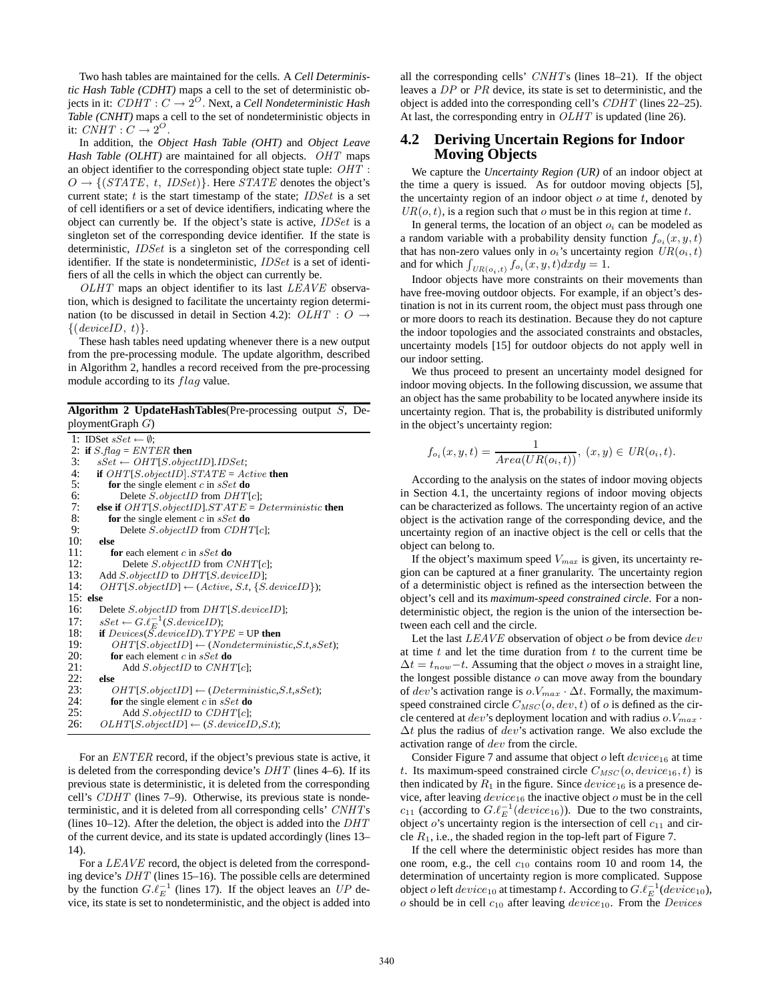Two hash tables are maintained for the cells. A *Cell Deterministic Hash Table (CDHT)* maps a cell to the set of deterministic objects in it:  $\mathit{CDHT} : C \rightarrow 2^O.$  Next, a *Cell Nondeterministic Hash Table (CNHT)* maps a cell to the set of nondeterministic objects in it:  $\text{CNHT}: C \rightarrow 2^O$ .

In addition, the *Object Hash Table (OHT)* and *Object Leave Hash Table (OLHT)* are maintained for all objects. OHT maps an object identifier to the corresponding object state tuple: OHT :  $O \rightarrow \{(STATE, t, IDEt)\}.$  Here *STATE* denotes the object's current state;  $t$  is the start timestamp of the state; IDSet is a set of cell identifiers or a set of device identifiers, indicating where the object can currently be. If the object's state is active, IDSet is a singleton set of the corresponding device identifier. If the state is deterministic, IDSet is a singleton set of the corresponding cell identifier. If the state is nondeterministic, IDSet is a set of identifiers of all the cells in which the object can currently be.

OLHT maps an object identifier to its last LEAVE observation, which is designed to facilitate the uncertainty region determination (to be discussed in detail in Section 4.2):  $OLHT : O \rightarrow$  $\{(deviceID, t)\}.$ 

These hash tables need updating whenever there is a new output from the pre-processing module. The update algorithm, described in Algorithm 2, handles a record received from the pre-processing module according to its *flag* value.

**Algorithm 2 UpdateHashTables**(Pre-processing output S, DeploymentGraph G)

```
1: IDSet sSet \leftarrow \emptyset:
2: if Sflag = ENTER then<br>3: SSet \leftarrow OHTIS, objec
 3: sSet \leftarrow \text{OHT}[S.\text{objectID}].IDSet;<br>4: if \text{OHT}[S.\text{objectID}].STATE = Ac4: if OHT[S.objectID]. STATE = Active then<br>5: for the single element c in sSet do
            for the single element c in sSet do
 6: Delete S.objectID from DHT[c];<br>7: else if OHT[S.objectID].STATE = L7: else if OHT[S.objectID]. STATE = Deterministic then<br>8: for the single element c in sSet do
8: for the single element c in sSet do<br>9: Delete S. objectID from CDH1
9: Delete \overline{S}.objectID from CDHT[c];<br>10: else
         10: else
11: for each element c in sSet do<br>12: Delete S.objectID from C
                 Delete S.objectID from CNHT[c];
13: Add S.objectID to DHT[S.deviceID];
14: OHT[S.objectID] \leftarrow (Active, S.t, \{S. deviceID\});15: else
16: Delete S.objectID from DHT[S.deviceID];
17: sSet \leftarrow G.\ell_E^{-1}(S.deviceID);18: if Devices(\overrightarrow{S}.deviceID). TYPE = UP then
19: OHT[S.objectID] \leftarrow (Nondeterministic, S.t, sSet);20: for each element c in sSet do<br>21: Add S.objectID to CNH'
21: Add S.objectID to CNHT[c];
22: else
23: OHT[S.objectID] \leftarrow (Deterministic, S.t, sSet);<br>24: for the single element c in sSet do
             for the single element c in sSet do
25: Add S.objectID to CDHT[c];<br>26: OLHT[S.objectID] \leftarrow (S. deviceI]OLHT[S. objectID] \leftarrow (S. deviceID, S.t);
```
For an ENTER record, if the object's previous state is active, it is deleted from the corresponding device's  $DHT$  (lines 4–6). If its previous state is deterministic, it is deleted from the corresponding cell's CDHT (lines 7–9). Otherwise, its previous state is nondeterministic, and it is deleted from all corresponding cells' CNHTs (lines 10–12). After the deletion, the object is added into the  $DHT$ of the current device, and its state is updated accordingly (lines 13– 14).

For a LEAVE record, the object is deleted from the corresponding device's DHT (lines 15–16). The possible cells are determined by the function  $G.\ell_E^{-1}$  (lines 17). If the object leaves an UP device, its state is set to nondeterministic, and the object is added into all the corresponding cells' CNHTs (lines 18–21). If the object leaves a DP or PR device, its state is set to deterministic, and the object is added into the corresponding cell's CDHT (lines 22–25). At last, the corresponding entry in *OLHT* is updated (line 26).

# **4.2 Deriving Uncertain Regions for Indoor Moving Objects**

We capture the *Uncertainty Region (UR)* of an indoor object at the time a query is issued. As for outdoor moving objects [5], the uncertainty region of an indoor object  $o$  at time  $t$ , denoted by  $UR(o, t)$ , is a region such that o must be in this region at time t.

In general terms, the location of an object  $o_i$  can be modeled as a random variable with a probability density function  $f_{o_i}(x, y, t)$ that has non-zero values only in  $o_i$ 's uncertainty region  $UR(o_i, t)$ and for which  $\int_{UR(o_i,t)} f_{o_i}(x, y, t) dx dy = 1.$ 

Indoor objects have more constraints on their movements than have free-moving outdoor objects. For example, if an object's destination is not in its current room, the object must pass through one or more doors to reach its destination. Because they do not capture the indoor topologies and the associated constraints and obstacles, uncertainty models [15] for outdoor objects do not apply well in our indoor setting.

We thus proceed to present an uncertainty model designed for indoor moving objects. In the following discussion, we assume that an object has the same probability to be located anywhere inside its uncertainty region. That is, the probability is distributed uniformly in the object's uncertainty region:

$$
f_{o_i}(x, y, t) = \frac{1}{Area(UR(o_i, t))}, (x, y) \in UR(o_i, t).
$$

According to the analysis on the states of indoor moving objects in Section 4.1, the uncertainty regions of indoor moving objects can be characterized as follows. The uncertainty region of an active object is the activation range of the corresponding device, and the uncertainty region of an inactive object is the cell or cells that the object can belong to.

If the object's maximum speed  $V_{max}$  is given, its uncertainty region can be captured at a finer granularity. The uncertainty region of a deterministic object is refined as the intersection between the object's cell and its *maximum-speed constrained circle*. For a nondeterministic object, the region is the union of the intersection between each cell and the circle.

Let the last  $LEAVE$  observation of object  $o$  be from device  $dev$ at time  $t$  and let the time duration from  $t$  to the current time be  $\Delta t = t_{now}-t$ . Assuming that the object *o* moves in a straight line, the longest possible distance  $o$  can move away from the boundary of dev's activation range is  $o.V_{max} \cdot \Delta t$ . Formally, the maximumspeed constrained circle  $C_{MSC}(o, dev, t)$  of o is defined as the circle centered at dev's deployment location and with radius  $o.V_{max}$ .  $\Delta t$  plus the radius of dev's activation range. We also exclude the activation range of dev from the circle.

Consider Figure 7 and assume that object o left  $device_{16}$  at time t. Its maximum-speed constrained circle  $C_{MSC}(o, device_{16}, t)$  is then indicated by  $R_1$  in the figure. Since  $device_{16}$  is a presence device, after leaving  $device_{16}$  the inactive object  $o$  must be in the cell  $c_{11}$  (according to  $G.\ell_E^{-1}(device_{16})$ ). Due to the two constraints, object  $o$ 's uncertainty region is the intersection of cell  $c_{11}$  and circle  $R_1$ , i.e., the shaded region in the top-left part of Figure 7.

If the cell where the deterministic object resides has more than one room, e.g., the cell  $c_{10}$  contains room 10 and room 14, the determination of uncertainty region is more complicated. Suppose object o left  $device_{10}$  at timestamp t. According to  $G.\ell_E^{-1}(device_{10})$ ,  $o$  should be in cell  $c_{10}$  after leaving  $device_{10}$ . From the *Devices*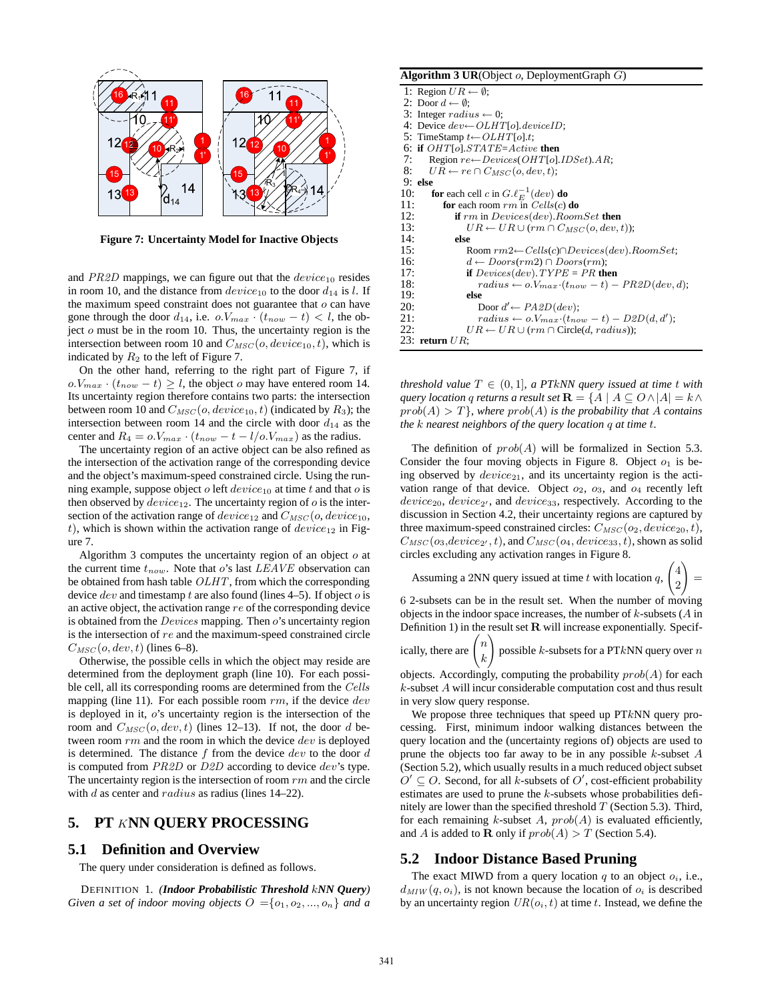

**Figure 7: Uncertainty Model for Inactive Objects**

and  $PR2D$  mappings, we can figure out that the  $device_{10}$  resides in room 10, and the distance from  $device_{10}$  to the door  $d_{14}$  is l. If the maximum speed constraint does not guarantee that  $o$  can have gone through the door  $d_{14}$ , i.e.  $o.V_{max} \cdot (t_{now} - t) < l$ , the object  $\sigma$  must be in the room 10. Thus, the uncertainty region is the intersection between room 10 and  $C_{MSC}(o, device_{10}, t)$ , which is indicated by  $R_2$  to the left of Figure 7.

On the other hand, referring to the right part of Figure 7, if  $o.V_{max} \cdot (t_{now} - t) \ge l$ , the object o may have entered room 14. Its uncertainty region therefore contains two parts: the intersection between room 10 and  $C_{MSC}(o, device_{10}, t)$  (indicated by  $R_3$ ); the intersection between room 14 and the circle with door  $d_{14}$  as the center and  $R_4 = o.V_{max} \cdot (t_{now} - t - l/o.V_{max})$  as the radius.

The uncertainty region of an active object can be also refined as the intersection of the activation range of the corresponding device and the object's maximum-speed constrained circle. Using the running example, suppose object o left  $device_{10}$  at time t and that o is then observed by  $device_{12}$ . The uncertainty region of  $o$  is the intersection of the activation range of  $device_{12}$  and  $C_{MSC}(o, device_{10},$ t), which is shown within the activation range of  $device_{12}$  in Figure 7.

Algorithm 3 computes the uncertainty region of an object  $o$  at the current time  $t_{now}$ . Note that o's last LEAVE observation can be obtained from hash table OLHT, from which the corresponding device  $dev$  and timestamp t are also found (lines 4–5). If object  $o$  is an active object, the activation range re of the corresponding device is obtained from the  $Devices$  mapping. Then  $o's$  uncertainty region is the intersection of re and the maximum-speed constrained circle  $C_{MSC}(o, dev, t)$  (lines 6–8).

Otherwise, the possible cells in which the object may reside are determined from the deployment graph (line 10). For each possible cell, all its corresponding rooms are determined from the Cells mapping (line 11). For each possible room  $rm$ , if the device  $dev$ is deployed in it,  $o$ 's uncertainty region is the intersection of the room and  $C_{MSC}(o, dev, t)$  (lines 12–13). If not, the door d between room  $rm$  and the room in which the device  $dev$  is deployed is determined. The distance  $f$  from the device  $dev$  to the door  $d$ is computed from PR2D or D2D according to device dev's type. The uncertainty region is the intersection of room  $rm$  and the circle with  $d$  as center and  $radius$  as radius (lines 14–22).

# **5. PT** K**NN QUERY PROCESSING**

#### **5.1 Definition and Overview**

The query under consideration is defined as follows.

DEFINITION 1. *(Indoor Probabilistic Threshold* k*NN Query) Given a set of indoor moving objects*  $O = \{o_1, o_2, ..., o_n\}$  *and a* 

#### **Algorithm 3 UR**(Object o, DeploymentGraph G)

*threshold value*  $T \in (0, 1]$ *, a PTkNN query issued at time t with query location q returns a result set*  $\mathbf{R} = \{A \mid A \subseteq O \land |A| = k \land \}$  $prob(A) > T$ *}, where*  $prob(A)$  *is the probability that* A *contains the* k *nearest neighbors of the query location* q *at time* t*.*

The definition of  $prob(A)$  will be formalized in Section 5.3. Consider the four moving objects in Figure 8. Object  $o_1$  is being observed by  $device_{21}$ , and its uncertainty region is the activation range of that device. Object  $o_2$ ,  $o_3$ , and  $o_4$  recently left  $device_{20}$ ,  $device_{2'}$ , and  $device_{33}$ , respectively. According to the discussion in Section 4.2, their uncertainty regions are captured by three maximum-speed constrained circles:  $C_{\text{MSC}}(o_2, device_{20}, t)$ ,  $C_{MSC}(o_3, device_{2'}, t)$ , and  $C_{MSC}(o_4, device_{33}, t)$ , shown as solid circles excluding any activation ranges in Figure 8.

Assuming a 2NN query issued at time  $t$  with locatic

$$
\quad \text{on } q, \begin{pmatrix} 4 \\ 2 \end{pmatrix} =
$$

6 2-subsets can be in the result set. When the number of moving objects in the indoor space increases, the number of  $k$ -subsets ( $A$  in Definition 1) in the result set  $\bf R$  will increase exponentially. Specif-

ically, there are n k  $\setminus$ possible  $k$ -subsets for a PT $k$ NN query over  $n$ 

objects. Accordingly, computing the probability  $prob(A)$  for each k-subset A will incur considerable computation cost and thus result in very slow query response.

We propose three techniques that speed up  $PTkNN$  query processing. First, minimum indoor walking distances between the query location and the (uncertainty regions of) objects are used to prune the objects too far away to be in any possible  $k$ -subset  $A$ (Section 5.2), which usually results in a much reduced object subset  $O' \subseteq O$ . Second, for all k-subsets of  $O'$ , cost-efficient probability estimates are used to prune the  $k$ -subsets whose probabilities definitely are lower than the specified threshold  $T$  (Section 5.3). Third, for each remaining k-subset A,  $prob(A)$  is evaluated efficiently, and A is added to **R** only if  $prob(A) > T$  (Section 5.4).

### **5.2 Indoor Distance Based Pruning**

The exact MIWD from a query location  $q$  to an object  $o_i$ , i.e.,  $d_{MIN}(q, o_i)$ , is not known because the location of  $o_i$  is described by an uncertainty region  $UR(o_i, t)$  at time t. Instead, we define the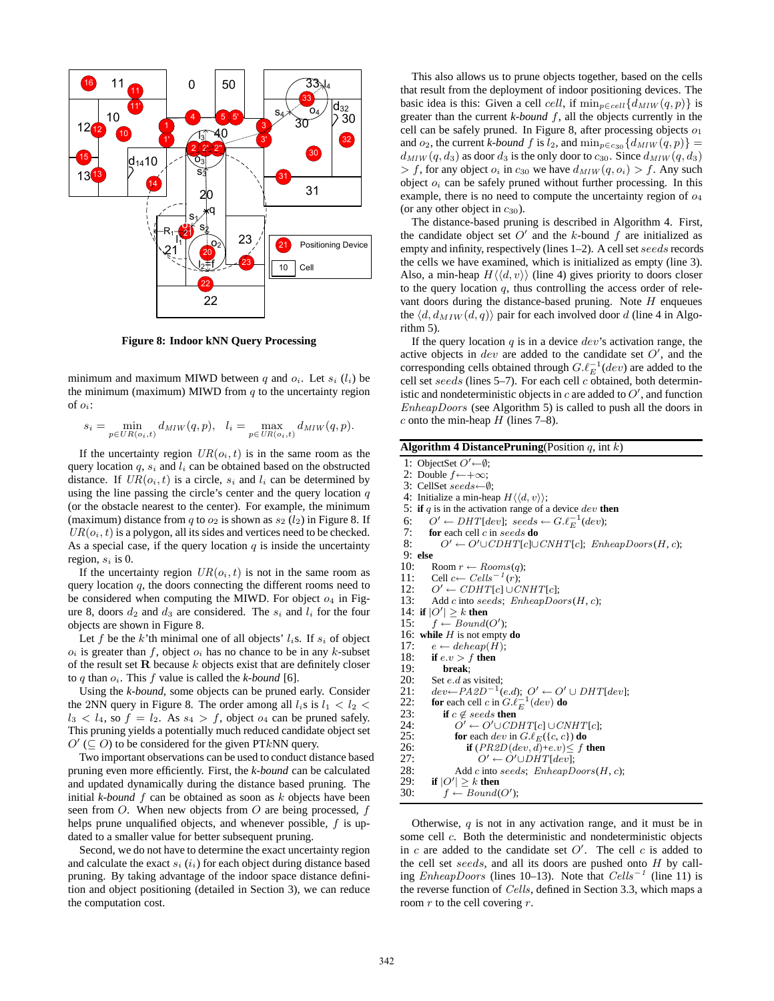

**Figure 8: Indoor kNN Query Processing**

minimum and maximum MIWD between q and  $o_i$ . Let  $s_i$  ( $l_i$ ) be the minimum (maximum) MIWD from  $q$  to the uncertainty region of  $o_i$ :

$$
s_i = \min_{p \in UR(o_i, t)} d_{MIW}(q, p), \quad l_i = \max_{p \in UR(o_i, t)} d_{MIW}(q, p).
$$

If the uncertainty region  $UR(o_i, t)$  is in the same room as the query location  $q$ ,  $s_i$  and  $l_i$  can be obtained based on the obstructed distance. If  $UR(o_i, t)$  is a circle,  $s_i$  and  $l_i$  can be determined by using the line passing the circle's center and the query location  $q$ (or the obstacle nearest to the center). For example, the minimum (maximum) distance from q to  $o_2$  is shown as  $s_2$  ( $l_2$ ) in Figure 8. If  $UR(o_i, t)$  is a polygon, all its sides and vertices need to be checked. As a special case, if the query location  $q$  is inside the uncertainty region,  $s_i$  is 0.

If the uncertainty region  $UR(o_i, t)$  is not in the same room as query location  $q$ , the doors connecting the different rooms need to be considered when computing the MIWD. For object  $o_4$  in Figure 8, doors  $d_2$  and  $d_3$  are considered. The  $s_i$  and  $l_i$  for the four objects are shown in Figure 8.

Let f be the k'th minimal one of all objects'  $l_i$ s. If  $s_i$  of object  $o_i$  is greater than f, object  $o_i$  has no chance to be in any k-subset of the result set  $\bf R$  because k objects exist that are definitely closer to q than  $o_i$ . This f value is called the  $k$ -bound [6].

Using the *k-bound*, some objects can be pruned early. Consider the 2NN query in Figure 8. The order among all  $l_i$ s is  $l_1 < l_2 <$  $l_3 < l_4$ , so  $f = l_2$ . As  $s_4 > f$ , object  $o_4$  can be pruned safely. This pruning yields a potentially much reduced candidate object set  $O'$  ( $\subseteq$  O) to be considered for the given PTkNN query.

Two important observations can be used to conduct distance based pruning even more efficiently. First, the *k-bound* can be calculated and updated dynamically during the distance based pruning. The initial  $k$ -bound  $f$  can be obtained as soon as  $k$  objects have been seen from  $O$ . When new objects from  $O$  are being processed,  $f$ helps prune unqualified objects, and whenever possible, f is updated to a smaller value for better subsequent pruning.

Second, we do not have to determine the exact uncertainty region and calculate the exact  $s_i$  ( $i_i$ ) for each object during distance based pruning. By taking advantage of the indoor space distance definition and object positioning (detailed in Section 3), we can reduce the computation cost.

This also allows us to prune objects together, based on the cells that result from the deployment of indoor positioning devices. The basic idea is this: Given a cell cell, if  $\min_{p \in \text{cell}} \{d_{MIW}(q, p)\}\$ is greater than the current *k-bound* f, all the objects currently in the cell can be safely pruned. In Figure 8, after processing objects  $o_1$ and  $o_2$ , the current *k-bound* f is  $l_2$ , and  $\min_{p \in c_{30}} \{d_{MIW}(q, p)\}$  =  $d_{MIW}(q, d_3)$  as door  $d_3$  is the only door to  $c_{30}$ . Since  $d_{MIW}(q, d_3)$  $> f$ , for any object  $o_i$  in  $c_{30}$  we have  $d_{MIW}(q, o_i) > f$ . Any such object  $o_i$  can be safely pruned without further processing. In this example, there is no need to compute the uncertainty region of  $o_4$ (or any other object in  $c_{30}$ ).

The distance-based pruning is described in Algorithm 4. First, the candidate object set  $O'$  and the k-bound f are initialized as empty and infinity, respectively (lines 1–2). A cell set seeds records the cells we have examined, which is initialized as empty (line 3). Also, a min-heap  $H\langle\langle d,v\rangle\rangle$  (line 4) gives priority to doors closer to the query location  $q$ , thus controlling the access order of relevant doors during the distance-based pruning. Note  $H$  enqueues the  $\langle d, d_{MIN}(d, q) \rangle$  pair for each involved door d (line 4 in Algorithm 5).

If the query location  $q$  is in a device  $dev$ 's activation range, the active objects in dev are added to the candidate set  $O'$ , and the corresponding cells obtained through  $G.\ell_E^{-1}(dev)$  are added to the cell set seeds (lines 5-7). For each cell c obtained, both deterministic and nondeterministic objects in c are added to  $O'$ , and function  $EnheapD oors$  (see Algorithm 5) is called to push all the doors in c onto the min-heap  $H$  (lines 7–8).

```
1: ObjectSet O' \leftarrow \emptyset;
```

```
2: Double f \leftarrow +\infty;
```

```
3: CellSet seeds←∅;
```
4: Initialize a min-heap  $H\langle\langle d, v \rangle\rangle$ ;

```
5: if q is in the activation range of a device dev then
```
- 6:  $Q' \leftarrow DHT[dev]$ ; seeds  $\leftarrow G.\ell_E^{-1}(dev)$ ;
- 7: **for** each cell *c* in seeds **do**<br>8:  $O' \leftarrow O' \cup CDHT[c] \cup$
- $O' \leftarrow O' \cup CDHT[c] \cup CNHT[c]$ ; EnheapDoors(H, c);
- 9: **else**
- 10: Room  $r \leftarrow Rooms(q);$ <br>11: Cell  $c \leftarrow Cells^{-1}(r);$
- 11: Cell  $c \leftarrow$  Cells<sup>-1</sup>(r);
- 
- 12:  $O' \leftarrow CDHT[c] \cup CNHT[c];$ <br>13: Add c into seeds; EnheapDoc Add c into seeds;  $EnheapDoor (H, c);$
- 14: **if**  $|O'| \geq k$  **then**
- 15:  $f \leftarrow Bound(O');$
- 16: **while** H is not empty **do**
- 17:  $e \leftarrow deheap(H);$
- 18: **if**  $e.v > f$  **then**<br>19: **hreak**:
- 19: **break**;
- 20: Set *e.d* as visited;<br>21:  $dev \leftarrow PA2D^{-1}$
- 21:  $dev \leftarrow PA2D^{-1}(e.d);$   $O' \leftarrow O' \cup DHT[dev];$
- 22: **for** each cell c in  $G.\ell_E^{-1}(dev)$  **do**

```
23: if c \notin seeds then<br>24: O' \leftarrow O' \cup CD
```

```
24: \overline{O'} \leftarrow O' \cup CDHT[c] \cup CNHT[c];<br>
25: for each dev in G.\ell_E(\lbrace c, c \rbrace) do
25: for each dev in G.\ell_E(\lbrace c, c \rbrace) do<br>26: if (PR2D(dev, d)+e.v) \leq f
```

```
26: if (PR2D(dev, d)+ev) \leq f then<br>27: O' \leftarrow O' \cup DHT[dev];
```

```
27: O' \leftarrow O' \cup DHT[dev];<br>28: Add c into seeds; Enheap D
```

```
28: Add c into seeds; EnheapDoor(H, c);<br>29: if |O'| > k then
```

```
29: if |O'| \geq k then
```

```
30: f \leftarrow Bound(O');
```
Otherwise,  $q$  is not in any activation range, and it must be in some cell c. Both the deterministic and nondeterministic objects in c are added to the candidate set  $O'$ . The cell c is added to the cell set seeds, and all its doors are pushed onto  $H$  by calling EnheapDoors (lines 10–13). Note that  $Cells^{-1}$  (line 11) is the reverse function of Cells, defined in Section 3.3, which maps a room  $r$  to the cell covering  $r$ .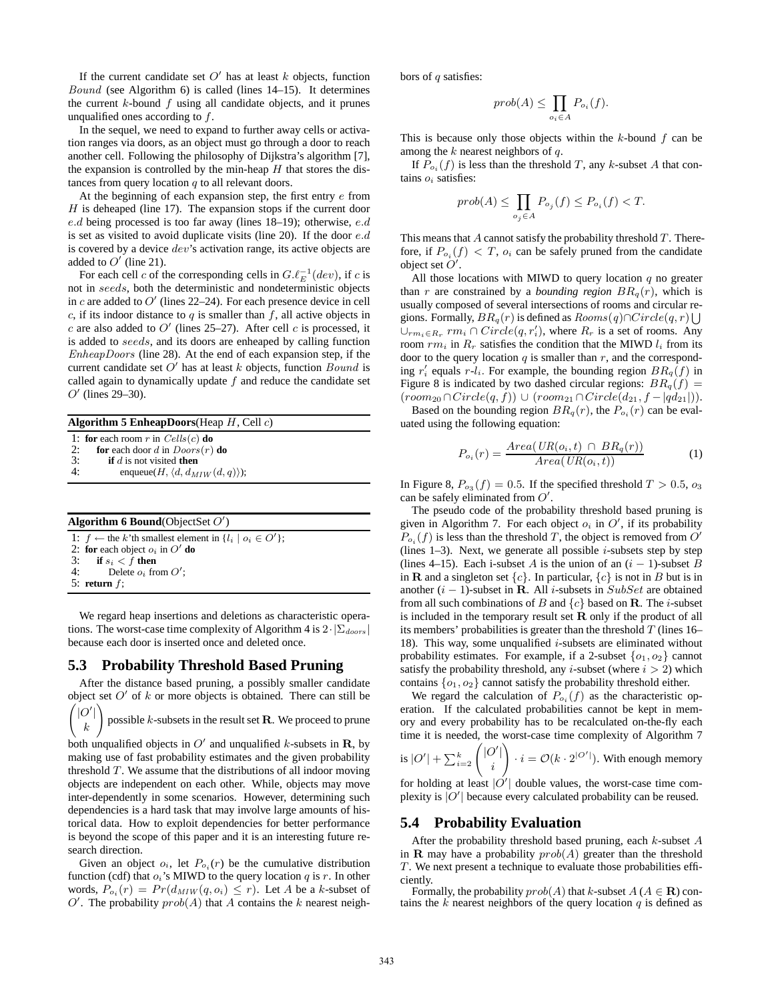If the current candidate set  $O'$  has at least  $k$  objects, function Bound (see Algorithm 6) is called (lines 14–15). It determines the current  $k$ -bound  $f$  using all candidate objects, and it prunes unqualified ones according to f.

In the sequel, we need to expand to further away cells or activation ranges via doors, as an object must go through a door to reach another cell. Following the philosophy of Dijkstra's algorithm [7], the expansion is controlled by the min-heap  $H$  that stores the distances from query location  $q$  to all relevant doors.

At the beginning of each expansion step, the first entry e from  $H$  is deheaped (line 17). The expansion stops if the current door e.d being processed is too far away (lines 18–19); otherwise, e.d is set as visited to avoid duplicate visits (line 20). If the door e.d is covered by a device  $dev$ 's activation range, its active objects are added to  $O'$  (line 21).

For each cell c of the corresponding cells in  $G.\ell_E^{-1}(dev)$ , if c is not in seeds, both the deterministic and nondeterministic objects in c are added to  $O'$  (lines 22–24). For each presence device in cell c, if its indoor distance to  $q$  is smaller than  $f$ , all active objects in  $c$  are also added to O' (lines 25–27). After cell  $c$  is processed, it is added to seeds, and its doors are enheaped by calling function EnheapDoors (line 28). At the end of each expansion step, if the current candidate set  $O'$  has at least k objects, function  $Bound$  is called again to dynamically update  $f$  and reduce the candidate set  $O'$  (lines 29–30).

**Algorithm 5 EnheapDoors**(Heap H, Cell c)

1: **for** each room r in  $Cells(c)$  **do**<br>2: **for** each door d in  $Doors(r)$ 

2: **for** each door d in  $Doors(r)$  **do**<br>3: **if** d is not visited **then** 

3: **if** d is not visited **then**<br>4: enqueue( $H$ ,  $\langle d, d_M \rangle$ enqueue( $H$ ,  $\langle d, d_{MIW}(d, q) \rangle$ );

| <b>Algorithm 6 Bound</b> (ObjectSet $O'$ ) |                                                                                                                   |  |
|--------------------------------------------|-------------------------------------------------------------------------------------------------------------------|--|
|                                            | 1: $f \leftarrow$ the k'th smallest element in $\{l_i \mid o_i \in O'\}$ ;<br>2: for each object $o_i$ in $O'$ do |  |
|                                            | 3: if $s_i < f$ then<br>4: Delete $o_i$ from $O'$ ;                                                               |  |
|                                            | 5: return $f$ ;                                                                                                   |  |

We regard heap insertions and deletions as characteristic operations. The worst-case time complexity of Algorithm 4 is  $2 \cdot |\Sigma_{doors}|$ because each door is inserted once and deleted once.

### **5.3 Probability Threshold Based Pruning**

After the distance based pruning, a possibly smaller candidate object set  $O'$  of k or more objects is obtained. There can still be

 $\int$ |O'| k  $\setminus$ possible  $k$ -subsets in the result set  ${\bf R}.$  We proceed to prune

both unqualified objects in  $O'$  and unqualified k-subsets in **R**, by making use of fast probability estimates and the given probability threshold  $T$ . We assume that the distributions of all indoor moving objects are independent on each other. While, objects may move inter-dependently in some scenarios. However, determining such dependencies is a hard task that may involve large amounts of historical data. How to exploit dependencies for better performance is beyond the scope of this paper and it is an interesting future research direction.

Given an object  $o_i$ , let  $P_{o_i}(r)$  be the cumulative distribution function (cdf) that  $o_i$ 's MIWD to the query location q is r. In other words,  $P_{o_i}(r) = Pr(d_{MIW}(q, o_i) \leq r)$ . Let A be a k-subset of O'. The probability  $prob(A)$  that A contains the k nearest neighbors of  $q$  satisfies:

$$
prob(A) \le \prod_{o_i \in A} P_{o_i}(f).
$$

This is because only those objects within the  $k$ -bound  $f$  can be among the  $k$  nearest neighbors of  $q$ .

If  $P_{o_i}(f)$  is less than the threshold T, any k-subset A that contains  $o_i$  satisfies:

$$
prob(A) \le \prod_{o_j \in A} P_{o_j}(f) \le P_{o_i}(f) < T.
$$

This means that  $A$  cannot satisfy the probability threshold  $T$ . Therefore, if  $P_{o_i}(f) < T$ ,  $o_i$  can be safely pruned from the candidate object set  $O'$ .

All those locations with MIWD to query location  $q$  no greater than r are constrained by a *bounding region*  $BR_q(r)$ , which is usually composed of several intersections of rooms and circular regions. Formally,  $BR_q(r)$  is defined as  $Rooms(q) \cap Circle(q, r) \bigcup$  $\bigcup_{rm_i \in R_r} rm_i \cap Circle(q, r'_i)$ , where  $R_r$  is a set of rooms. Any room  $rm_i$  in  $R_r$  satisfies the condition that the MIWD  $l_i$  from its door to the query location  $q$  is smaller than  $r$ , and the corresponding  $r'_i$  equals  $r-l_i$ . For example, the bounding region  $BR_q(f)$  in Figure 8 is indicated by two dashed circular regions:  $BR_q(f)$  =  $(room_{20} \cap Circle(q, f)) \cup (room_{21} \cap Circle(d_{21}, f - |qd_{21}|)).$ 

Based on the bounding region  $BR_q(r)$ , the  $P_{o_i}(r)$  can be evaluated using the following equation:

$$
P_{o_i}(r) = \frac{Area(UR(o_i, t) \cap BR_q(r))}{Area(UR(o_i, t))}
$$
(1)

In Figure 8,  $P_{\sigma_3}(f) = 0.5$ . If the specified threshold  $T > 0.5$ ,  $\sigma_3$ can be safely eliminated from  $O'$ .

The pseudo code of the probability threshold based pruning is given in Algorithm 7. For each object  $o_i$  in  $O'$ , if its probability  $P_{o_i}(f)$  is less than the threshold T, the object is removed from O' (lines  $1-3$ ). Next, we generate all possible *i*-subsets step by step (lines 4–15). Each i-subset A is the union of an  $(i - 1)$ -subset B in **R** and a singleton set  $\{c\}$ . In particular,  $\{c\}$  is not in B but is in another  $(i - 1)$ -subset in R. All *i*-subsets in SubSet are obtained from all such combinations of B and  $\{c\}$  based on **R**. The *i*-subset is included in the temporary result set  $R$  only if the product of all its members' probabilities is greater than the threshold  $T$  (lines 16– 18). This way, some unqualified  $i$ -subsets are eliminated without probability estimates. For example, if a 2-subset  $\{o_1, o_2\}$  cannot satisfy the probability threshold, any *i*-subset (where  $i > 2$ ) which contains  $\{o_1, o_2\}$  cannot satisfy the probability threshold either.

We regard the calculation of  $P_{o_i}(f)$  as the characteristic operation. If the calculated probabilities cannot be kept in memory and every probability has to be recalculated on-the-fly each time it is needed, the worst-case time complexity of Algorithm 7 is  $|O'| + \sum_{i=2}^k \binom{|O'|}{i}$ i !  $\cdot i = \mathcal{O}(k \cdot 2^{|O'|})$ . With enough memory for holding at least  $|O'|$  double values, the worst-case time complexity is  $|O'|$  because every calculated probability can be reused.

#### **5.4 Probability Evaluation**

After the probability threshold based pruning, each  $k$ -subset  $A$ in **R** may have a probability  $prob(A)$  greater than the threshold T. We next present a technique to evaluate those probabilities efficiently.

Formally, the probability  $prob(A)$  that k-subset  $A (A \in \mathbf{R})$  contains the k nearest neighbors of the query location  $q$  is defined as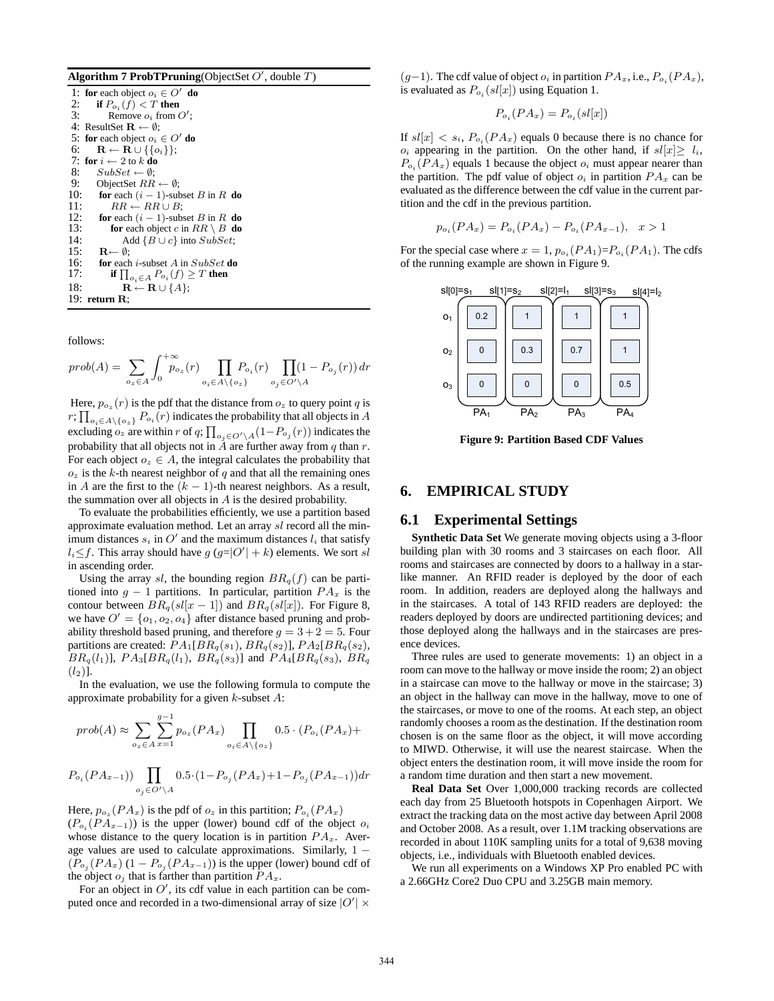|  |  | Algorithm 7 ProbTPruning(ObjectSet $O'$ , double $T$ ) |  |  |
|--|--|--------------------------------------------------------|--|--|
|--|--|--------------------------------------------------------|--|--|

| 1: for each object $o_i \in O'$ do                              |
|-----------------------------------------------------------------|
| if $P_{o_i}(f) < T$ then<br>2:                                  |
| 3:<br>Remove $o_i$ from $O'$ :                                  |
| 4: ResultSet $\mathbf{R} \leftarrow \emptyset$ ;                |
| 5: for each object $o_i \in O'$ do                              |
| $\mathbf{R} \leftarrow \mathbf{R} \cup \{\{o_i\}\};$<br>6:      |
| 7: for $i \leftarrow 2$ to k do                                 |
| 8:<br>$SubSet \leftarrow \emptyset$                             |
| 9:<br>ObjectSet $RR \leftarrow \emptyset$ ;                     |
| 10:<br>for each $(i - 1)$ -subset B in R do                     |
| 11:<br>$RR \leftarrow RR \cup B$ :                              |
| 12:<br>for each $(i - 1)$ -subset B in R do                     |
| 13:<br><b>for</b> each object c in $RR \setminus B$ <b>do</b>   |
| 14:<br>Add ${B \cup c}$ into $SubSet$ ;                         |
| 15:<br>$\mathbf{R} \leftarrow \emptyset$ :                      |
| 16:<br><b>for</b> each <i>i</i> -subset A in $SubSet$ <b>do</b> |
| 17:<br>if $\prod_{o_i\in A}P_{o_i}(f)\geq T$ then               |
| 18:<br>$\mathbf{R} \leftarrow \mathbf{R} \cup \{A\};$           |
| 19: return $\mathbf{R}$ ;                                       |

follows:

$$
prob(A) = \sum_{o_z \in A} \int_0^{+\infty} p_{o_z}(r) \prod_{o_i \in A \setminus \{o_z\}} P_{o_i}(r) \prod_{o_j \in O' \setminus A} (1 - P_{o_j}(r)) dr
$$

Here,  $p_{o_z}(r)$  is the pdf that the distance from  $o_z$  to query point q is  $r; \prod_{o_i \in A \setminus \{o_z\}} P_{o_i}(r)$  indicates the probability that all objects in A excluding  $o_z$  are within r of q;  $\prod_{o_j \in O' \setminus A} (1 - P_{o_j}(r))$  indicates the probability that all objects not in  $\tilde{A}$  are further away from q than r. For each object  $o_z \in A$ , the integral calculates the probability that  $o_z$  is the k-th nearest neighbor of q and that all the remaining ones in A are the first to the  $(k - 1)$ -th nearest neighbors. As a result, the summation over all objects in  $A$  is the desired probability.

To evaluate the probabilities efficiently, we use a partition based approximate evaluation method. Let an array sl record all the minimum distances  $s_i$  in O' and the maximum distances  $l_i$  that satisfy  $l_i \leq f$ . This array should have  $g(g=|O'|+k)$  elements. We sort sl in ascending order.

Using the array sl, the bounding region  $BR_q(f)$  can be partitioned into  $q - 1$  partitions. In particular, partition  $PA_x$  is the contour between  $BR_q(sl[x-1])$  and  $BR_q(sl[x])$ . For Figure 8, we have  $O' = \{o_1, o_2, o_4\}$  after distance based pruning and probability threshold based pruning, and therefore  $g = 3 + 2 = 5$ . Four partitions are created:  $\overline{PA_1[B R_q(s_1), BR_q(s_2)]}$ ,  $\overline{PA_2[B R_q(s_2)]}$ ,  $BR_q(l_1)$ ],  $PA_3[BR_q(l_1), BR_q(s_3)]$  and  $PA_4[BR_q(s_3), BR_q$  $(l_2)$ ].

In the evaluation, we use the following formula to compute the approximate probability for a given  $k$ -subset  $A$ :

$$
prob(A) \approx \sum_{o_z \in A} \sum_{x=1}^{g-1} p_{o_z}(PA_x) \prod_{o_i \in A \setminus \{o_z\}} 0.5 \cdot (P_{o_i}(PA_x) +
$$

$$
P_{o_i}(PA_{x-1})) \prod_{o_j \in O' \setminus A} 0.5 \cdot (1 - P_{o_j}(PA_x) + 1 - P_{o_j}(PA_{x-1})) dr
$$

Here,  $p_{o_z}(PA_x)$  is the pdf of  $o_z$  in this partition;  $P_{o_i}(PA_x)$  $(P_{o_i}(PA_{x-1}))$  is the upper (lower) bound cdf of the object  $o_i$ whose distance to the query location is in partition  $PA_x$ . Average values are used to calculate approximations. Similarly,  $1 (P_{\sigma_i}(PA_x)(1-P_{\sigma_i}(PA_{x-1}))$  is the upper (lower) bound cdf of the object  $o_j$  that is farther than partition  $PA_x$ .

For an object in  $O'$ , its cdf value in each partition can be computed once and recorded in a two-dimensional array of size  $|O'| \times$   $(g-1)$ . The cdf value of object  $o_i$  in partition  $PA_x$ , i.e.,  $P_{o_i}(PA_x)$ , is evaluated as  $P_{o_i}(sl[x])$  using Equation 1.

$$
P_{o_i}(PA_x) = P_{o_i}(sl[x])
$$

If  $sl[x] < s_i$ ,  $P_{o_i}(PA_x)$  equals 0 because there is no chance for  $o_i$  appearing in the partition. On the other hand, if  $sl[x] \geq l_i$ ,  $P_{o_i}(PA_x)$  equals 1 because the object  $o_i$  must appear nearer than the partition. The pdf value of object  $o_i$  in partition  $PA_x$  can be evaluated as the difference between the cdf value in the current partition and the cdf in the previous partition.

$$
p_{o_i}(PA_x) = P_{o_i}(PA_x) - P_{o_i}(PA_{x-1}), \quad x > 1
$$

For the special case where  $x = 1$ ,  $p_{o_i}(PA_1) = P_{o_i}(PA_1)$ . The cdfs of the running example are shown in Figure 9.



**Figure 9: Partition Based CDF Values**

#### **6. EMPIRICAL STUDY**

### **6.1 Experimental Settings**

**Synthetic Data Set** We generate moving objects using a 3-floor building plan with 30 rooms and 3 staircases on each floor. All rooms and staircases are connected by doors to a hallway in a starlike manner. An RFID reader is deployed by the door of each room. In addition, readers are deployed along the hallways and in the staircases. A total of 143 RFID readers are deployed: the readers deployed by doors are undirected partitioning devices; and those deployed along the hallways and in the staircases are presence devices.

Three rules are used to generate movements: 1) an object in a room can move to the hallway or move inside the room; 2) an object in a staircase can move to the hallway or move in the staircase; 3) an object in the hallway can move in the hallway, move to one of the staircases, or move to one of the rooms. At each step, an object randomly chooses a room as the destination. If the destination room chosen is on the same floor as the object, it will move according to MIWD. Otherwise, it will use the nearest staircase. When the object enters the destination room, it will move inside the room for a random time duration and then start a new movement.

**Real Data Set** Over 1,000,000 tracking records are collected each day from 25 Bluetooth hotspots in Copenhagen Airport. We extract the tracking data on the most active day between April 2008 and October 2008. As a result, over 1.1M tracking observations are recorded in about 110K sampling units for a total of 9,638 moving objects, i.e., individuals with Bluetooth enabled devices.

We run all experiments on a Windows XP Pro enabled PC with a 2.66GHz Core2 Duo CPU and 3.25GB main memory.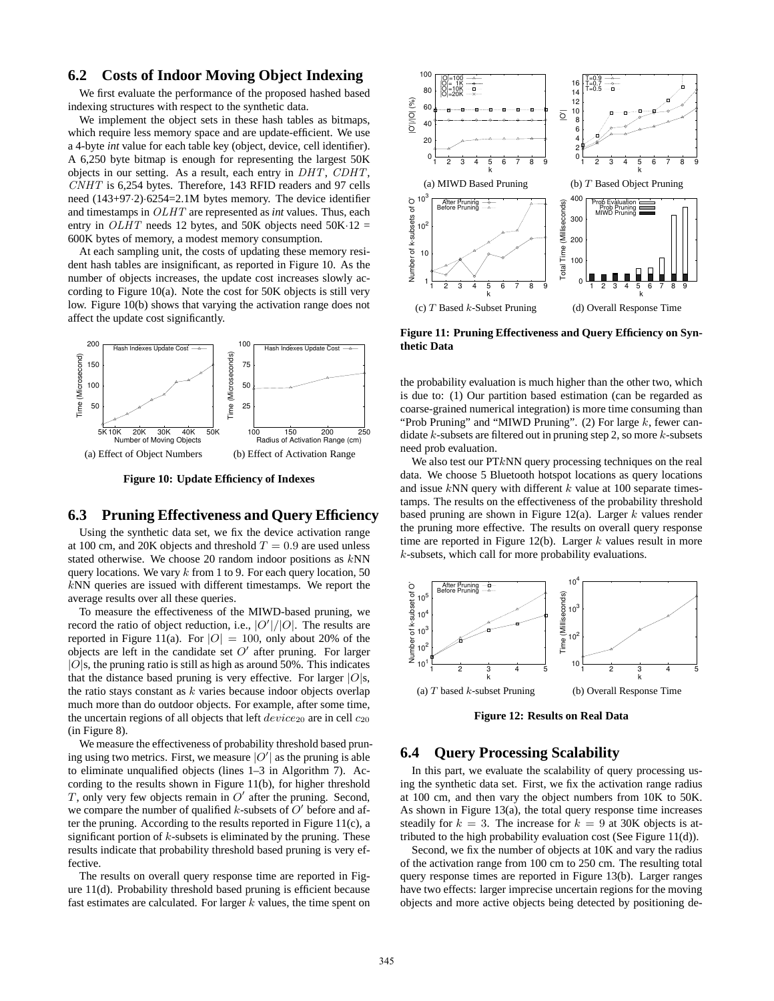# **6.2 Costs of Indoor Moving Object Indexing**

We first evaluate the performance of the proposed hashed based indexing structures with respect to the synthetic data.

We implement the object sets in these hash tables as bitmaps, which require less memory space and are update-efficient. We use a 4-byte *int* value for each table key (object, device, cell identifier). A 6,250 byte bitmap is enough for representing the largest 50K objects in our setting. As a result, each entry in DHT, CDHT, CNHT is 6,254 bytes. Therefore, 143 RFID readers and 97 cells need (143+97·2)·6254=2.1M bytes memory. The device identifier and timestamps in OLHT are represented as *int* values. Thus, each entry in  $OLHT$  needs 12 bytes, and 50K objects need 50K $\cdot$ 12 = 600K bytes of memory, a modest memory consumption.

At each sampling unit, the costs of updating these memory resident hash tables are insignificant, as reported in Figure 10. As the number of objects increases, the update cost increases slowly according to Figure 10(a). Note the cost for 50K objects is still very low. Figure 10(b) shows that varying the activation range does not affect the update cost significantly.



**Figure 10: Update Efficiency of Indexes**

### **6.3 Pruning Effectiveness and Query Efficiency**

Using the synthetic data set, we fix the device activation range at 100 cm, and 20K objects and threshold  $T = 0.9$  are used unless stated otherwise. We choose 20 random indoor positions as kNN query locations. We vary  $k$  from 1 to 9. For each query location, 50 kNN queries are issued with different timestamps. We report the average results over all these queries.

To measure the effectiveness of the MIWD-based pruning, we record the ratio of object reduction, i.e.,  $|O'|/|O|$ . The results are reported in Figure 11(a). For  $|O| = 100$ , only about 20% of the objects are left in the candidate set  $O'$  after pruning. For larger  $|O|$ s, the pruning ratio is still as high as around 50%. This indicates that the distance based pruning is very effective. For larger  $|O|$ s, the ratio stays constant as  $k$  varies because indoor objects overlap much more than do outdoor objects. For example, after some time, the uncertain regions of all objects that left  $device_{20}$  are in cell  $c_{20}$ (in Figure 8).

We measure the effectiveness of probability threshold based pruning using two metrics. First, we measure  $|O'|$  as the pruning is able to eliminate unqualified objects (lines 1–3 in Algorithm 7). According to the results shown in Figure 11(b), for higher threshold T, only very few objects remain in  $O'$  after the pruning. Second, we compare the number of qualified k-subsets of  $O'$  before and after the pruning. According to the results reported in Figure  $11(c)$ , a significant portion of  $k$ -subsets is eliminated by the pruning. These results indicate that probability threshold based pruning is very effective.

The results on overall query response time are reported in Figure 11(d). Probability threshold based pruning is efficient because fast estimates are calculated. For larger  $k$  values, the time spent on



**Figure 11: Pruning Effectiveness and Query Efficiency on Synthetic Data**

the probability evaluation is much higher than the other two, which is due to: (1) Our partition based estimation (can be regarded as coarse-grained numerical integration) is more time consuming than "Prob Pruning" and "MIWD Pruning". (2) For large  $k$ , fewer candidate  $k$ -subsets are filtered out in pruning step 2, so more  $k$ -subsets need prob evaluation.

We also test our PTkNN query processing techniques on the real data. We choose 5 Bluetooth hotspot locations as query locations and issue  $kNN$  query with different  $k$  value at 100 separate timestamps. The results on the effectiveness of the probability threshold based pruning are shown in Figure 12(a). Larger  $k$  values render the pruning more effective. The results on overall query response time are reported in Figure 12(b). Larger  $k$  values result in more k-subsets, which call for more probability evaluations.



**Figure 12: Results on Real Data**

### **6.4 Query Processing Scalability**

In this part, we evaluate the scalability of query processing using the synthetic data set. First, we fix the activation range radius at 100 cm, and then vary the object numbers from 10K to 50K. As shown in Figure 13(a), the total query response time increases steadily for  $k = 3$ . The increase for  $k = 9$  at 30K objects is attributed to the high probability evaluation cost (See Figure 11(d)).

Second, we fix the number of objects at 10K and vary the radius of the activation range from 100 cm to 250 cm. The resulting total query response times are reported in Figure 13(b). Larger ranges have two effects: larger imprecise uncertain regions for the moving objects and more active objects being detected by positioning de-